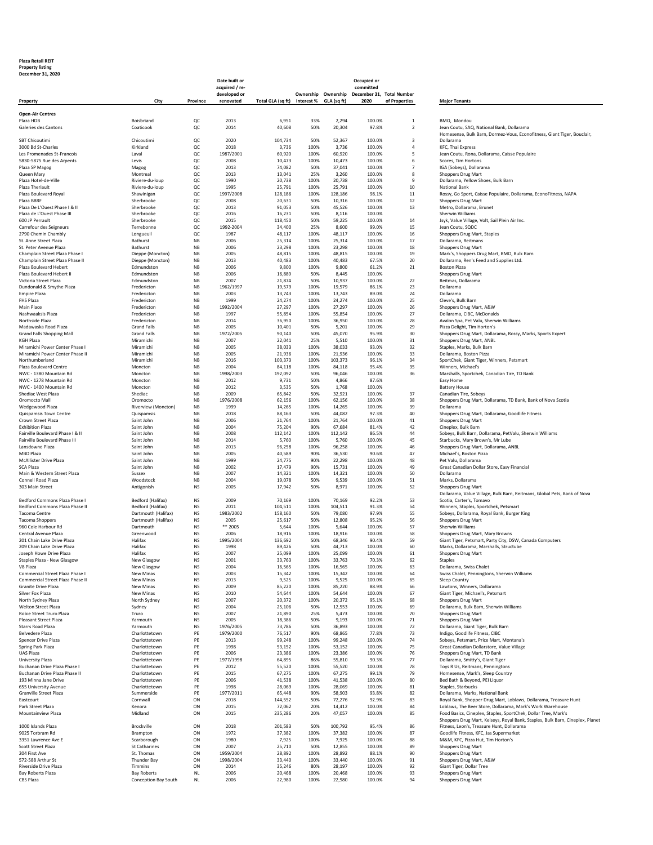## **Plaza Retail REIT**

**Property listing December 31, 2020**

|                                                                          |                                          |                               | Date built or                  |                                          |              |                     | Occupied or<br>committed |                           |                                                                                                                                                 |
|--------------------------------------------------------------------------|------------------------------------------|-------------------------------|--------------------------------|------------------------------------------|--------------|---------------------|--------------------------|---------------------------|-------------------------------------------------------------------------------------------------------------------------------------------------|
|                                                                          |                                          |                               | acquired / re-<br>developed or |                                          |              | Ownership Ownership |                          | December 31, Total Number |                                                                                                                                                 |
| Property                                                                 | City                                     | Province                      | renovated                      | Total GLA (sq ft) Interest % GLA (sq ft) |              |                     | 2020                     | of Properties             | <b>Major Tenants</b>                                                                                                                            |
| <b>Open-Air Centres</b>                                                  |                                          |                               |                                |                                          |              |                     |                          |                           |                                                                                                                                                 |
| Plaza HDB                                                                | Boisbriand                               | QC                            | 2013                           | 6,951                                    | 33%          | 2,294               | 100.0%                   | $\mathbf 1$               | BMO, Mondou                                                                                                                                     |
| Galeries des Cantons                                                     | Coaticook                                | QC                            | 2014                           | 40,608                                   | 50%          | 20,304              | 97.8%                    | $\overline{2}$            | Jean Coutu, SAQ, National Bank, Dollarama                                                                                                       |
| <b>SBT Chicoutimi</b>                                                    | Chicoutimi                               | QC                            | 2020                           | 104,734                                  | 50%          | 52,367              | 100.0%                   | 3                         | Homesense, Bulk Barn, Dormez-Vous, Econofitness, Giant Tiger, Bouclair,<br>Dollarama                                                            |
| 3000 Bd St-Charles                                                       | Kirkland                                 | QC                            | 2018                           | 3,736                                    | 100%         | 3,736               | 100.0%                   | $\overline{4}$            | KFC, Thai Express                                                                                                                               |
| Les Promenades St-Francois                                               | Laval                                    | QC                            | 1987/2001                      | 60,920                                   | 100%         | 60,920              | 100.0%                   | 5                         | Jean Coutu, Rona, Dollarama, Caisse Populaire                                                                                                   |
| 5830-5875 Rue des Arpents                                                | Levis                                    | QC                            | 2008                           | 10,473                                   | 100%         | 10,473              | 100.0%                   | 6                         | Scores, Tim Hortons                                                                                                                             |
| Plaza SP Magog<br>Queen Mary                                             | Magog<br>Montreal                        | QC<br>QC                      | 2013<br>2013                   | 74,082<br>13,041                         | 50%<br>25%   | 37,041<br>3,260     | 100.0%<br>100.0%         | $\overline{7}$<br>8       | IGA (Sobeys), Dollarama<br><b>Shoppers Drug Mart</b>                                                                                            |
| Plaza Hotel-de-Ville                                                     | Riviere-du-loup                          | QC                            | 1990                           | 20,738                                   | 100%         | 20,738              | 100.0%                   | 9                         | Dollarama, Yellow Shoes, Bulk Barn                                                                                                              |
| Plaza Theriault                                                          | Riviere-du-loup                          | QC                            | 1995                           | 25,791                                   | 100%         | 25,791              | 100.0%                   | 10                        | National Bank                                                                                                                                   |
| Plaza Boulevard Royal                                                    | Shawinigan                               | QC                            | 1997/2008                      | 128,186                                  | 100%         | 128.186             | 98.1%                    | 11                        | Rossy, Go Sport, Caisse Populaire, Dollarama, EconoFitness, NAPA                                                                                |
| Plaza BBRF<br>Plaza De L'Ouest Phase I & II                              | Sherbrooke<br>Sherbrooke                 | QC<br>QC                      | 2008<br>2013                   | 20,631<br>91,053                         | 50%<br>50%   | 10,316<br>45,526    | 100.0%<br>100.0%         | 12<br>13                  | Shoppers Drug Mart<br>Metro, Dollarama, Brunet                                                                                                  |
| Plaza de L'Ouest Phase III                                               | Sherbrooke                               | QC                            | 2016                           | 16,231                                   | 50%          | 8,116               | 100.0%                   |                           | Sherwin Williams                                                                                                                                |
| 600 JP Perrault                                                          | Sherbrooke                               | QC                            | 2015                           | 118,450                                  | 50%          | 59,225              | 100.0%                   | 14                        | Jsyk, Value Village, Volt, Sail Plein Air Inc.                                                                                                  |
| Carrefour des Seigneurs                                                  | Terrebonne                               | QC                            | 1992-2004                      | 34,400                                   | 25%          | 8,600               | 99.0%                    | 15                        | Jean Coutu, SQDC                                                                                                                                |
| 2790 Chemin Chambly<br>St. Anne Street Plaza                             | Longueuil<br>Bathurst                    | QC<br><b>NB</b>               | 1987<br>2006                   | 48,117<br>25,314                         | 100%<br>100% | 48,117<br>25,314    | 100.0%<br>100.0%         | 16<br>17                  | Shoppers Drug Mart, Staples<br>Dollarama, Reitmans                                                                                              |
| St. Peter Avenue Plaza                                                   | Bathurst                                 | <b>NB</b>                     | 2006                           | 23,298                                   | 100%         | 23,298              | 100.0%                   | 18                        | <b>Shoppers Drug Mart</b>                                                                                                                       |
| Champlain Street Plaza Phase I                                           | Dieppe (Moncton)                         | NB                            | 2005                           | 48,815                                   | 100%         | 48,815              | 100.0%                   | 19                        | Mark's, Shoppers Drug Mart, BMO, Bulk Barn                                                                                                      |
| Champlain Street Plaza Phase II                                          | Dieppe (Moncton)                         | NB                            | 2013                           | 40,483                                   | 100%         | 40,483              | 67.5%                    | 20                        | Dollarama, Ren's Feed and Supplies Ltd.                                                                                                         |
| Plaza Boulevard Hebert<br>Plaza Boulevard Hebert II                      | Edmundston<br>Edmundston                 | NB<br>NB                      | 2006<br>2006                   | 9,800<br>16,889                          | 100%<br>50%  | 9,800<br>8,445      | 61.2%<br>100.0%          | 21                        | <b>Boston Pizza</b><br><b>Shoppers Drug Mart</b>                                                                                                |
| Victoria Street Plaza                                                    | Edmundston                               | <b>NB</b>                     | 2007                           | 21,874                                   | 50%          | 10,937              | 100.0%                   | 22                        | Reitmas, Dollarama                                                                                                                              |
| Dundonald & Smythe Plaza                                                 | Fredericton                              | <b>NB</b>                     | 1962/1997                      | 19,579                                   | 100%         | 19,579              | 86.1%                    | 23                        | Dollarama                                                                                                                                       |
| <b>Empire Plaza</b>                                                      | Fredericton                              | <b>NB</b>                     | 2003                           | 13.743                                   | 100%         | 13.743              | 89.0%                    | 24                        | Dollarama                                                                                                                                       |
| FHS Plaza<br>Main Place                                                  | Fredericton<br>Fredericton               | NB<br>NB                      | 1999<br>1992/2004              | 24,274<br>27,297                         | 100%<br>100% | 24,274<br>27,297    | 100.0%<br>100.0%         | 25<br>26                  | Cleve's, Bulk Barn<br>Shoppers Drug Mart, A&W                                                                                                   |
| Nashwaaksis Plaza                                                        | Fredericton                              | $_{\mathsf{NB}}$              | 1997                           | 55,854                                   | 100%         | 55,854              | 100.0%                   | 27                        | Dollarama, CIBC, McDonalds                                                                                                                      |
| Northside Plaza                                                          | Fredericton                              | NB                            | 2014                           | 36,950                                   | 100%         | 36,950              | 100.0%                   | 28                        | Avalon Spa, Pet Valu, Sherwin Williams                                                                                                          |
| Madawaska Road Plaza                                                     | <b>Grand Falls</b>                       | <b>NB</b>                     | 2005                           | 10,401                                   | 50%          | 5,201               | 100.0%                   | 29                        | Pizza Delight, Tim Horton's                                                                                                                     |
| <b>Grand Falls Shopping Mall</b><br><b>KGH Plaza</b>                     | <b>Grand Falls</b><br>Miramichi          | <b>NB</b><br><b>NB</b>        | 1972/2005<br>2007              | 90,140<br>22,041                         | 50%<br>25%   | 45,070<br>5,510     | 95.9%<br>100.0%          | 30<br>31                  | Shoppers Drug Mart, Dollarama, Rossy, Marks, Sports Expert<br>Shoppers Drug Mart, ANBL                                                          |
| Miramichi Power Center Phase I                                           | Miramichi                                | NB                            | 2005                           | 38,033                                   | 100%         | 38,033              | 93.0%                    | 32                        | Staples, Marks, Bulk Barn                                                                                                                       |
| Miramichi Power Center Phase II                                          | Miramichi                                | <b>NB</b>                     | 2005                           | 21,936                                   | 100%         | 21,936              | 100.0%                   | 33                        | Dollarama, Boston Pizza                                                                                                                         |
| Northumberland                                                           | Miramichi                                | <b>NB</b>                     | 2016                           | 103,373                                  | 100%         | 103.373             | 96.1%                    | 34                        | SportChek, Giant Tiger, Winners, Petsmart                                                                                                       |
| Plaza Boulevard Centre<br>NWC - 1380 Mountain Rd                         | Moncton<br>Moncton                       | <b>NB</b><br><b>NB</b>        | 2004<br>1998/2003              | 84,118<br>192,092                        | 100%<br>50%  | 84,118<br>96.046    | 95.4%<br>100.0%          | 35<br>36                  | Winners, Michael's<br>Marshalls, Sportchek, Canadian Tire, TD Bank                                                                              |
| NWC - 1278 Mountain Rd                                                   | Moncton                                  | <b>NB</b>                     | 2012                           | 9,731                                    | 50%          | 4,866               | 87.6%                    |                           | Easy Home                                                                                                                                       |
| NWC - 1400 Mountain Rd                                                   | Moncton                                  | NB                            | 2012                           | 3,535                                    | 50%          | 1,768               | 100.0%                   |                           | <b>Battery House</b>                                                                                                                            |
| Shediac West Plaza                                                       | Shediac                                  | NB                            | 2009                           | 65,842                                   | 50%          | 32,921              | 100.0%                   | 37                        | Canadian Tire, Sobeys                                                                                                                           |
| Oromocto Mall<br>Wedgewood Plaza                                         | Oromocto<br>Riverview (Moncton)          | $_{\mathsf{NB}}$<br><b>NB</b> | 1976/2008<br>1999              | 62,156<br>14,265                         | 100%<br>100% | 62,156<br>14,265    | 100.0%<br>100.0%         | 38<br>39                  | Shoppers Drug Mart, Dollarama, TD Bank, Bank of Nova Scotia<br>Dollarama                                                                        |
| Quispamsis Town Centre                                                   | Quispamsis                               | <b>NB</b>                     | 2018                           | 88,163                                   | 50%          | 44,082              | 97.3%                    | 40                        | Shoppers Drug Mart, Dollarama, Goodlife Fitness                                                                                                 |
| Crown Street Plaza                                                       | Saint John                               | $_{\mathsf{NB}}$              | 2006                           | 21,764                                   | 100%         | 21,764              | 100.0%                   | 41                        | <b>Shoppers Drug Mart</b>                                                                                                                       |
| <b>Exhibition Plaza</b>                                                  | Saint John                               | NB                            | 2004                           | 75,204                                   | 90%          | 67,684              | 81.4%                    | 42                        | Cineplex, Bulk Barn                                                                                                                             |
| Fairville Boulevard Phase I & II<br><b>Fairville Boulevard Phase III</b> | Saint John<br>Saint John                 | NB<br><b>NB</b>               | 2008<br>2014                   | 112,142                                  | 100%<br>100% | 112,142             | 86.5%<br>100.0%          | 44<br>45                  | Sobeys, Bulk Barn, Dollarama, PetValu, Sherwin Williams                                                                                         |
| Lansdowne Plaza                                                          | Saint John                               | <b>NB</b>                     | 2013                           | 5,760<br>96,258                          | 100%         | 5,760<br>96,258     | 100.0%                   | 46                        | Starbucks, Mary Brown's, Mr Lube<br>Shoppers Drug Mart, Dollarama, ANBL                                                                         |
| <b>MBD Plaza</b>                                                         | Saint John                               | <b>NB</b>                     | 2005                           | 40,589                                   | 90%          | 36,530              | 90.6%                    | 47                        | Michael's, Boston Pizza                                                                                                                         |
| McAllister Drive Plaza                                                   | Saint John                               | <b>NB</b>                     | 1999                           | 24,775                                   | 90%          | 22,298              | 100.0%                   | 48                        | Pet Valu, Dollarama                                                                                                                             |
| SCA Plaza                                                                | Saint John                               | NB                            | 2002                           | 17,479                                   | 90%          | 15,731              | 100.0%                   | 49                        | Great Canadian Dollar Store, Easy Financial                                                                                                     |
| Main & Western Street Plaza<br><b>Connell Road Plaza</b>                 | Sussex<br>Woodstock                      | NB<br>$_{\mathsf{NB}}$        | 2007<br>2004                   | 14,321<br>19,078                         | 100%<br>50%  | 14,321<br>9,539     | 100.0%<br>100.0%         | 50<br>51                  | Dollarama<br>Marks, Dollarama                                                                                                                   |
| 303 Main Street                                                          | Antigonish                               | <b>NS</b>                     | 2005                           | 17,942                                   | 50%          | 8,971               | 100.0%                   | 52                        | <b>Shoppers Drug Mart</b>                                                                                                                       |
|                                                                          |                                          |                               |                                |                                          |              |                     |                          |                           | Dollarama, Value Village, Bulk Barn, Reitmans, Global Pets, Bank of Nova                                                                        |
| Bedford Commons Plaza Phase I                                            | Bedford (Halifax)                        | <b>NS</b>                     | 2009                           | 70,169                                   | 100%         | 70,169              | 92.2%                    | 53                        | Scotia, Carter's, Tomavo                                                                                                                        |
| Bedford Commons Plaza Phase II<br>Tacoma Centre                          | Bedford (Halifax)<br>Dartmouth (Halifax) | <b>NS</b><br><b>NS</b>        | 2011<br>1983/2002              | 104,511<br>158,160                       | 100%<br>50%  | 104,511<br>79,080   | 91.3%<br>97.9%           | 54<br>55                  | Winners, Staples, Sportchek, Petsmart<br>Sobeys, Dollarama, Royal Bank, Burger King                                                             |
| <b>Tacoma Shoppers</b>                                                   | Dartmouth (Halifax)                      | <b>NS</b>                     | 2005                           | 25,617                                   | 50%          | 12,808              | 95.2%                    | 56                        | <b>Shoppers Drug Mart</b>                                                                                                                       |
| 960 Cole Harbour Rd                                                      | Dartmouth                                | <b>NS</b>                     | ** 2005                        | 5,644                                    | 100%         | 5,644               | 100.0%                   | 57                        | Sherwin Williams                                                                                                                                |
| Central Avenue Plaza                                                     | Greenwood                                | <b>NS</b>                     | 2006                           | 18,916                                   | 100%         | 18,916              | 100.0%                   | 58                        | Shoppers Drug Mart, Mary Browns                                                                                                                 |
| 201 Chain Lake Drive Plaza<br>209 Chain Lake Drive Plaza                 | Halifax<br>Halifax                       | <b>NS</b><br><b>NS</b>        | 1995/2004<br>1998              | 136,692<br>89,426                        | 50%<br>50%   | 68.346<br>44.713    | 90.4%<br>100.0%          | 59<br>60                  | Giant Tiger, Petsmart, Party City, DSW, Canada Computers<br>Marks, Dollarama, Marshalls, Structube                                              |
| Joseph Howe Drive Plaza                                                  | Halifax                                  | NS                            | 2007                           | 25,099                                   | 100%         | 25,099              | 100.0%                   | 61                        | <b>Shoppers Drug Mart</b>                                                                                                                       |
| Staples Plaza - New Glasgow                                              | New Glasgow                              | NS                            | 2001                           | 33,763                                   | 100%         | 33,763              | 70.39                    | 62                        | Staples                                                                                                                                         |
| V8 Plaza                                                                 | New Glasgow                              | NS                            | 2004                           | 16,565                                   | 100%         | 16,565              | 100.0%                   | 63                        | Dollarama, Swiss Chalet                                                                                                                         |
| Commercial Street Plaza Phase I<br>Commercial Street Plaza Phase II      | New Minas<br>New Minas                   | <b>NS</b><br><b>NS</b>        | 2003<br>2013                   | 15,342<br>9,525                          | 100%<br>100% | 15,342<br>9,525     | 100.0%<br>100.0%         | 64<br>65                  | Swiss Chalet, Penningtons, Sherwin Williams<br>Sleep Country                                                                                    |
| Granite Drive Plaza                                                      | <b>New Minas</b>                         | <b>NS</b>                     | 2009                           | 85,220                                   | 100%         | 85,220              | 88.9%                    | 66                        | Lawtons, Winners, Dollarama                                                                                                                     |
| Silver Fox Plaza                                                         | New Minas                                | <b>NS</b>                     | 2010                           | 54,644                                   | 100%         | 54,644              | 100.0%                   | 67                        | Giant Tiger, Michael's, Petsmart                                                                                                                |
| North Sydney Plaza                                                       | North Sydney                             | <b>NS</b>                     | 2007                           | 20,372                                   | 100%         | 20,372              | 95.1%                    | 68                        | <b>Shoppers Drug Mart</b>                                                                                                                       |
| Welton Street Plaza<br>Robie Street Truro Plaza                          | Sydney<br>Truro                          | <b>NS</b><br><b>NS</b>        | 2004<br>2007                   | 25,106<br>21,890                         | 50%<br>25%   | 12,553<br>5,473     | 100.0%<br>100.0%         | 69<br>70                  | Dollarama, Bulk Barn, Sherwin Williams<br><b>Shoppers Drug Mart</b>                                                                             |
| <b>Pleasant Street Plaza</b>                                             | Yarmouth                                 | <b>NS</b>                     | 2005                           | 18,386                                   | 50%          | 9,193               | 100.0%                   | 71                        | Shoppers Drug Mart                                                                                                                              |
| Starrs Road Plaza                                                        | Yarmouth                                 | <b>NS</b>                     | 1976/2005                      | 73,786                                   | 50%          | 36,893              | 100.0%                   | 72                        | Dollarama, Giant Tiger, Bulk Barn                                                                                                               |
| Belvedere Plaza                                                          | Charlottetown                            | PE                            | 1979/2000                      | 76,517                                   | 90%          | 68,865              | 77.8%                    | 73                        | Indigo, Goodlife Fitness, CIBC                                                                                                                  |
| Spencer Drive Plaza<br>Spring Park Plaza                                 | Charlottetown                            | PE<br>PE                      | 2013<br>1998                   | 99,248<br>53,152                         | 100%<br>100% | 99,248              | 100.0%<br>100.0%         | 74<br>75                  | Sobeys, Petsmart, Price Mart, Montana's<br>Great Canadian Dollarstore, Value Village                                                            |
| UAS Plaza                                                                | Charlottetown<br>Charlottetown           | PE                            | 2006                           | 23,386                                   | 100%         | 53,152<br>23,386    | 100.0%                   | 76                        | Shoppers Drug Mart, TD Bank                                                                                                                     |
| University Plaza                                                         | Charlottetown                            | PE                            | 1977/1998                      | 64,895                                   | 86%          | 55,810              | 90.3%                    | 77                        | Dollarama, Smitty's, Giant Tiger                                                                                                                |
| Buchanan Drive Plaza Phase I                                             | Charlottetown                            | PE                            | 2012                           | 55,520                                   | 100%         | 55,520              | 100.0%                   | 78                        | Toys R Us, Reitmans, Penningtons                                                                                                                |
| Buchanan Drive Plaza Phase II                                            | Charlottetown                            | PE                            | 2015                           | 67,275                                   | 100%         | 67,275              | 99.1%                    | 79                        | Homesense, Mark's, Sleep Country                                                                                                                |
| 193 Minna Jane Drive<br>655 University Avenue                            | Charlottetown<br>Charlottetown           | PE<br>PE                      | 2006<br>1998                   | 41,538<br>28,069                         | 100%<br>100% | 41,538<br>28,069    | 100.0%<br>100.0%         | 80<br>81                  | Bed Bath & Beyond, PEI Liquor<br>Staples, Starbucks                                                                                             |
| Granville Street Plaza                                                   | Summerside                               | PE                            | 1977/2011                      | 65,448                                   | 90%          | 58,903              | 93.8%                    | 82                        | Dollarama, Marks, National Bank                                                                                                                 |
| Eastcourt                                                                | Cornwall                                 | ON                            | 2018                           | 144,552                                  | 50%          | 72,276              | 92.9%                    | 83                        | Royal Bank, Shopper Drug Mart, Loblaws, Dollarama, Treasure Hunt                                                                                |
| Park Street Plaza                                                        | Kenora                                   | ON                            | 2015                           | 72,062                                   | 20%          | 14,412              | 100.0%                   | 84<br>85                  | Loblaws, The Beer Store, Dollarama, Mark's Work Warehouse                                                                                       |
| Mountainview Plaza                                                       | Midland                                  | ON                            | 2015                           | 235,286                                  | 20%          | 47,057              | 100.0%                   |                           | Food Basics, Cineplex, Staples, SportChek, Dollar Tree, Mark's<br>Shoppers Drug Mart, Kelseys, Royal Bank, Staples, Bulk Barn, Cineplex, Planet |
| 1000 Islands Plaza                                                       | Brockville                               | ON                            | 2018                           | 201,583                                  | 50%          | 100,792             | 95.4%                    | 86                        | Fitness, Leon's, Treasure Hunt, Dollarama                                                                                                       |
| 9025 Torbram Rd                                                          | Brampton                                 | ON                            | 1972                           | 37,382                                   | 100%         | 37,382              | 100.0%                   | 87                        | Goodlife Fitness, KFC, Jas Supermarket                                                                                                          |
| 3351 Lawrence Ave E                                                      | Scarborough                              | ON                            | 1980                           | 7,925                                    | 100%         | 7,925               | 100.0%                   | 88                        | M&M, KFC, Pizza Hut, Tim Horton's                                                                                                               |
| Scott Street Plaza<br>204 First Ave                                      | <b>St Catharines</b><br>St. Thomas       | ON<br>ON                      | 2007<br>1959/2004              | 25,710<br>28,892                         | 50%<br>100%  | 12,855<br>28,892    | 100.0%<br>88.1%          | 89<br>90                  | Shoppers Drug Mart<br>Shoppers Drug Mart                                                                                                        |
| 572-588 Arthur St                                                        | <b>Thunder Bay</b>                       | ON                            | 1998/2004                      | 33,440                                   | 100%         | 33,440              | 100.0%                   | 91                        | Shoppers Drug Mart, A&W                                                                                                                         |
| Riverside Drive Plaza                                                    | Timmins                                  | ON                            | 2014                           | 35,246                                   | 80%          | 28,197              | 100.0%                   | 92                        | Giant Tiger, Dollar Tree                                                                                                                        |
| Bay Roberts Plaza                                                        | <b>Bay Roberts</b>                       | <b>NL</b>                     | 2006                           | 20,468                                   | 100%         | 20,468              | 100.0%                   | 93                        | Shoppers Drug Mart                                                                                                                              |
| CBS Plaza                                                                | Conception Bay South                     | <b>NL</b>                     | 2006                           | 22,980                                   | 100%         | 22,980              | 100.0%                   | 94                        | Shoppers Drug Mart                                                                                                                              |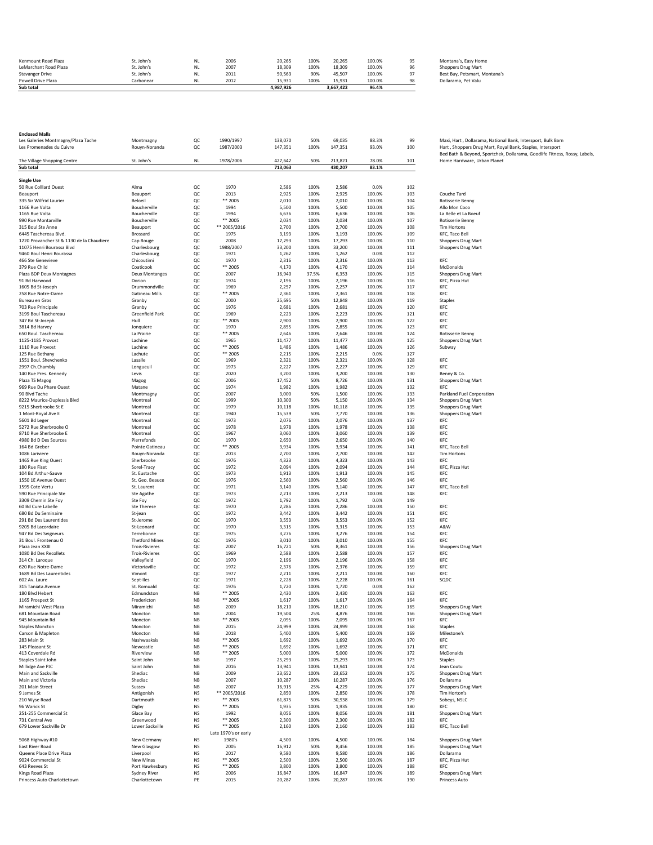| Powell Drive Plaza<br>Sub total              | Carbonear                | <b>NL</b>              | 2012         | 15.931<br>4.987.926 | 100%        | 15.931<br>3.667.422 | 100.0%<br>96.4%  | 98       | Dollarama, Pet Valu                                 |
|----------------------------------------------|--------------------------|------------------------|--------------|---------------------|-------------|---------------------|------------------|----------|-----------------------------------------------------|
| <b>Stavanger Drive</b>                       | St. John's<br>St. John's | <b>NL</b><br><b>NL</b> | 2007<br>2011 | 18.309<br>50.563    | 100%<br>90% | 18.309<br>45.507    | 100.0%<br>100.0% | 96<br>97 | Shoppers Drug Mart<br>Best Buy, Petsmart, Montana's |
| Kenmount Road Plaza<br>LeMarchant Road Plaza | St. John's               | NL                     | 2006         | 20.265              | 100%        | 20.265              | 100.0%           |          | Montana's, Easy Home                                |

| Montana's, Easy Home        |
|-----------------------------|
| Shoppers Drug Mart          |
| Best Buy, Petsmart, Montana |
|                             |

| <b>Enclosed Malls</b>                     |                       |                  |                      |         |       |         |        |     |                                                                           |
|-------------------------------------------|-----------------------|------------------|----------------------|---------|-------|---------|--------|-----|---------------------------------------------------------------------------|
| Les Galeries Montmagny/Plaza Tache        | Montmagny             | QC               | 1990/1997            | 138,070 | 50%   | 69,035  | 88.3%  | 99  | Maxi, Hart, Dollarama, National Bank, Intersport, Bulk Barn               |
| Les Promenades du Cuivre                  | Rouyn-Noranda         | QC               | 1987/2003            | 147,351 | 100%  | 147,351 | 93.0%  | 100 | Hart, Shoppers Drug Mart, Royal Bank, Staples, Intersport                 |
|                                           |                       |                  |                      |         |       |         |        |     | Bed Bath & Beyond, Sportchek, Dollarama, Goodlife Fitness, Rossy, Labels, |
| The Village Shopping Centre               | St. John's            | NL.              | 1978/2006            | 427,642 | 50%   | 213,821 | 78.0%  | 101 | Home Hardware, Urban Planet                                               |
| Sub total                                 |                       |                  |                      | 713,063 |       | 430,207 | 83.1%  |     |                                                                           |
|                                           |                       |                  |                      |         |       |         |        |     |                                                                           |
| <b>Single Use</b>                         |                       |                  |                      |         |       |         |        |     |                                                                           |
| 50 Rue Colllard Ouest                     | Alma                  | QC               | 1970                 | 2,586   | 100%  | 2,586   | 0.0%   | 102 |                                                                           |
| Beauport                                  | Beauport              | QC               | 2013                 | 2,925   | 100%  | 2,925   | 100.0% | 103 | Couche Tard                                                               |
| 335 Sir Wilfrid Laurier                   |                       |                  |                      |         |       |         |        |     |                                                                           |
|                                           | Beloeil               | QC               | ** 2005              | 2,010   | 100%  | 2,010   | 100.0% | 104 | <b>Rotisserie Benny</b>                                                   |
| 1166 Rue Volta                            | Boucherville          | QC               | 1994                 | 5,500   | 100%  | 5,500   | 100.0% | 105 | Allo Mon Coco                                                             |
| 1165 Rue Volta                            | Boucherville          | QC               | 1994                 | 6,636   | 100%  | 6,636   | 100.0% | 106 | La Belle et La Boeuf                                                      |
| 990 Rue Montarville                       | Boucherville          | QC               | ** 2005              | 2,034   | 100%  | 2,034   | 100.0% | 107 | Rotisserie Benny                                                          |
| 315 Boul Ste Anne                         | Beauport              | QC               | ** 2005/2016         | 2,700   | 100%  | 2,700   | 100.0% | 108 | <b>Tim Hortons</b>                                                        |
| 6445 Taschereau Blvd.                     | Brossard              | QC               | 1975                 | 3,193   | 100%  | 3,193   | 100.0% | 109 | KFC, Taco Bell                                                            |
|                                           |                       |                  |                      |         |       |         |        |     |                                                                           |
| 1220 Provancher St & 1130 de la Chaudiere | Cap Rouge             | QC               | 2008                 | 17,293  | 100%  | 17,293  | 100.0% | 110 | <b>Shoppers Drug Mart</b>                                                 |
| 11075 Henri Bourassa Blvd                 | Charlesbourg          | QC               | 1988/2007            | 33,200  | 100%  | 33,200  | 100.0% | 111 | Shoppers Drug Mart                                                        |
| 9460 Boul Henri Bourassa                  | Charlesbourg          | QC               | 1971                 | 1,262   | 100%  | 1,262   | 0.0%   | 112 |                                                                           |
| 466 Ste Genevieve                         | Chicoutimi            | QC               | 1970                 | 2,316   | 100%  | 2,316   | 100.0% | 113 | KFC                                                                       |
| 379 Rue Child                             | Coaticook             | QC               | ** 2005              | 4,170   | 100%  | 4,170   | 100.0% | 114 | McDonalds                                                                 |
| Plaza BDP Deux Montagnes                  | <b>Deux Montanges</b> | QC               | 2007                 | 16,940  | 37.5% | 6,353   | 100.0% | 115 | Shoppers Drug Mart                                                        |
| 91 Bd Harwood                             | Dorion                | QC               | 1974                 | 2,196   | 100%  | 2,196   | 100.0% | 116 | KFC, Pizza Hut                                                            |
| 1605 Bd St-Joseph                         | Drummondville         | QC               | 1969                 | 2,257   | 100%  | 2,257   | 100.0% | 117 | KFC                                                                       |
| 258 Rue Notre-Dame                        | Gatineau Mills        | QC               | ** 2005              | 2,361   | 100%  | 2,361   | 100.0% | 118 | KFC                                                                       |
|                                           |                       |                  |                      |         |       |         |        |     |                                                                           |
| <b>Bureau en Gros</b>                     | Granby                | QC               | 2000                 | 25,695  | 50%   | 12,848  | 100.0% | 119 | Staples                                                                   |
| 703 Rue Principale                        | Granby                | QC               | 1976                 | 2,681   | 100%  | 2,681   | 100.0% | 120 | KFC                                                                       |
| 3199 Boul Taschereau                      | Greenfield Park       | QC               | 1969                 | 2,223   | 100%  | 2,223   | 100.0% | 121 | KFC                                                                       |
| 347 Bd St-Joseph                          | Hull                  | QC               | ** 2005              | 2,900   | 100%  | 2,900   | 100.0% | 122 | KFC                                                                       |
| 3814 Bd Harvey                            | Jonquiere             | QC               | 1970                 | 2,855   | 100%  | 2,855   | 100.0% | 123 | KFC                                                                       |
| 650 Boul. Taschereau                      | La Prairie            | QC               | ** 2005              | 2,646   | 100%  | 2,646   | 100.0% | 124 | Rotisserie Benny                                                          |
| 1125-1185 Provost                         | Lachine               | QC               | 1965                 | 11,477  | 100%  | 11,477  | 100.0% | 125 | Shoppers Drug Mart                                                        |
| 1110 Rue Provost                          | Lachine               | QC               | ** 2005              | 1,486   | 100%  | 1,486   | 100.0% | 126 |                                                                           |
|                                           |                       |                  |                      |         |       |         |        |     | Subway                                                                    |
| 125 Rue Bethany                           | Lachute               | QC               | ** 2005              | 2,215   | 100%  | 2,215   | 0.0%   | 127 |                                                                           |
| 1551 Boul. Shevchenko                     | Lasalle               | QC               | 1969                 | 2,321   | 100%  | 2,321   | 100.0% | 128 | KFC                                                                       |
| 2997 Ch.Chambly                           | Longueuil             | QC               | 1973                 | 2,227   | 100%  | 2,227   | 100.0% | 129 | KFC                                                                       |
| 140 Rue Pres. Kennedy                     | Levis                 | QC               | 2020                 | 3,200   | 100%  | 3,200   | 100.0% | 130 | Benny & Co.                                                               |
| Plaza TS Magog                            | Magog                 | QC               | 2006                 | 17,452  | 50%   | 8,726   | 100.0% | 131 | Shoppers Drug Mart                                                        |
| 969 Rue Du Phare Ouest                    | Matane                | QC               | 1974                 | 1,982   | 100%  | 1,982   | 100.0% | 132 | KFC                                                                       |
|                                           |                       |                  |                      |         |       |         |        |     |                                                                           |
| 90 Blvd Tache                             | Montmagny             | QC               | 2007                 | 3,000   | 50%   | 1,500   | 100.0% | 133 | Parkland Fuel Corporation                                                 |
| 8222 Maurice-Duplessis Blvd               | Montreal              | QC               | 1999                 | 10,300  | 50%   | 5,150   | 100.0% | 134 | Shoppers Drug Mart                                                        |
| 9215 Sherbrooke St E                      | Montreal              | QC               | 1979                 | 10,118  | 100%  | 10,118  | 100.0% | 135 | <b>Shoppers Drug Mart</b>                                                 |
| 1 Mont-Royal Ave E                        | Montreal              | QC               | 1940                 | 15,539  | 50%   | 7,770   | 100.0% | 136 | Shoppers Drug Mart                                                        |
| 5601 Bd Leger                             | Montreal              | QC               | 1973                 | 2,076   | 100%  | 2,076   | 100.0% | 137 | KFC                                                                       |
| 5272 Rue Sherbrooke O                     | Montreal              | QC               | 1978                 | 1,978   | 100%  | 1,978   | 100.0% | 138 | KFC                                                                       |
| 8710 Rue Sherbrooke E                     | Montreal              | QC               | 1967                 | 3,060   | 100%  | 3,060   | 100.0% | 139 | KFC                                                                       |
|                                           |                       |                  |                      |         |       |         |        |     |                                                                           |
| 4980 Bd D Des Sources                     | Pierrefonds           | QC               | 1970                 | 2,650   | 100%  | 2,650   | 100.0% | 140 | KFC                                                                       |
| 164 Bd Greber                             | Pointe Gatineau       | QC               | ** 2005              | 3,934   | 100%  | 3,934   | 100.0% | 141 | KFC, Taco Bell                                                            |
| 1086 Lariviere                            | Rouyn-Noranda         | QC               | 2013                 | 2,700   | 100%  | 2,700   | 100.0% | 142 | Tim Hortons                                                               |
| 1465 Rue King Ouest                       | Sherbrooke            | QC               | 1976                 | 4,323   | 100%  | 4,323   | 100.0% | 143 | KFC                                                                       |
| 180 Rue Fiset                             | Sorel-Tracy           | QC               | 1972                 | 2,094   | 100%  | 2,094   | 100.0% | 144 | KFC, Pizza Hut                                                            |
| 104 Bd Arthur-Sauve                       | St. Eustache          | QC               | 1973                 | 1,913   | 100%  | 1,913   | 100.0% | 145 | KFC                                                                       |
| 1550 1E Avenue Ouest                      | St. Geo. Beauce       | QC               | 1976                 | 2,560   | 100%  | 2,560   | 100.0% | 146 | KFC                                                                       |
|                                           |                       |                  |                      |         |       |         |        |     |                                                                           |
| 1595 Cote Vertu                           | St. Laurent           | QC               | 1971                 | 3,140   | 100%  | 3,140   | 100.0% | 147 | KFC, Taco Bell                                                            |
| 590 Rue Principale Ste                    | Ste Agathe            | QC               | 1973                 | 2,213   | 100%  | 2,213   | 100.0% | 148 | KFC                                                                       |
| 3309 Chemin Ste Foy                       | Ste Foy               | QC               | 1972                 | 1,792   | 100%  | 1,792   | 0.0%   | 149 |                                                                           |
| 60 Bd Cure Labelle                        | Ste Therese           | QC               | 1970                 | 2,286   | 100%  | 2,286   | 100.0% | 150 | KFC                                                                       |
| 680 Bd Du Seminaire                       | St-jean               | QC               | 1972                 | 3,442   | 100%  | 3,442   | 100.0% | 151 | KFC                                                                       |
| 291 Bd Des Laurentides                    | St-Jerome             | QC               | 1970                 | 3,553   | 100%  | 3,553   | 100.0% | 152 | KFC                                                                       |
|                                           | St-Leonard            | QC               | 1970                 |         | 100%  |         | 100.0% | 153 | A&W                                                                       |
| 9205 Bd Lacordaire                        |                       |                  |                      | 3,315   |       | 3,315   |        |     |                                                                           |
| 947 Bd Des Seigneurs                      | Terrebonne            | QC               | 1975                 | 3,276   | 100%  | 3,276   | 100.0% | 154 | KFC                                                                       |
| 31 Boul, Frontenau O                      | <b>Thetford Mines</b> | QC               | 1976                 | 3,010   | 100%  | 3,010   | 100.0% | 155 | KFC                                                                       |
| Plaza Jean XXIII                          | <b>Trois-Rivieres</b> | QC               | 2007                 | 16,721  | 50%   | 8,361   | 100.0% | 156 | Shoppers Drug Mart                                                        |
| 1080 Bd Des Recollets                     | <b>Trois-Rivieres</b> | QC               | 1969                 | 2,588   | 100%  | 2,588   | 100.0% | 157 | KFC                                                                       |
| 314 Ch. Laroque                           | Valleyfield           | QC               | 1970                 | 2,196   | 100%  | 2,196   | 100.0% | 158 | KFC                                                                       |
| 620 Rue Notre-Dame                        | Victoriaville         | QC               | 1972                 | 2,376   | 100%  | 2,376   | 100.0% | 159 | KFC                                                                       |
| 1689 Bd Des Laurentides                   | Vimont                | QC               | 1977                 | 2,211   | 100%  | 2,211   | 100.0% | 160 | KFC                                                                       |
|                                           |                       |                  |                      |         |       |         |        |     |                                                                           |
| 602 Av. Laure                             | Sept-Iles             | QC               | 1971                 | 2,228   | 100%  | 2,228   | 100.0% | 161 | SQDC                                                                      |
| 315 Taniata Avenue                        | St. Romuald           | QC               | 1976                 | 1,720   | 100%  | 1,720   | 0.0%   | 162 |                                                                           |
| 180 Blvd Hebert                           | Edmundston            | $_{\mathsf{NB}}$ | ** 2005              | 2,430   | 100%  | 2,430   | 100.0% | 163 | KFC                                                                       |
| 1165 Prospect St                          | Fredericton           | $_{\mathsf{NB}}$ | ** 2005              | 1,617   | 100%  | 1,617   | 100.0% | 164 | KFC                                                                       |
| Miramichi West Plaza                      | Miramichi             | <b>NB</b>        | 2009                 | 18,210  | 100%  | 18,210  | 100.0% | 165 | <b>Shoppers Drug Mart</b>                                                 |
| 681 Mountain Road                         | Moncton               | NB               | 2004                 | 19,504  | 25%   | 4,876   | 100.0% | 166 | Shoppers Drug Mart                                                        |
| 945 Mountain Rd                           | Moncton               | NB               | ** 2005              | 2,095   | 100%  | 2,095   | 100.0% | 167 | KFC                                                                       |
|                                           |                       | NΒ               | 2015                 | 24,999  | 100%  | 24,999  | 100.0% | 168 |                                                                           |
| <b>Staples Moncton</b>                    | Moncton               |                  |                      |         |       |         |        |     | <b>Staples</b>                                                            |
| Carson & Mapleton                         | Moncton               | NB               | 2018                 | 5,400   | 100%  | 5,400   | 100.0% | 169 | Milestone's                                                               |
| 283 Main St                               | Nashwaaksis           | NB               | ** 2005              | 1,692   | 100%  | 1,692   | 100.0% | 170 | KFC                                                                       |
| 145 Pleasant St                           | Newcastle             | <b>NB</b>        | ** 2005              | 1,692   | 100%  | 1,692   | 100.0% | 171 | KFC                                                                       |
| 413 Coverdale Rd                          | Riverview             | NB               | ** 2005              | 5,000   | 100%  | 5,000   | 100.0% | 172 | McDonalds                                                                 |
| Staples Saint John                        | Saint John            | NΒ               | 1997                 | 25,293  | 100%  | 25,293  | 100.0% | 173 | <b>Staples</b>                                                            |
| Millidge Ave PJC                          | Saint John            | NΒ               | 2016                 | 13,941  | 100%  | 13,941  | 100.0% | 174 | Jean Coutu                                                                |
| Main and Sackville                        | Shediac               | NB               | 2009                 | 23,652  | 100%  | 23,652  | 100.0% | 175 | Shoppers Drug Mart                                                        |
|                                           |                       |                  |                      |         |       |         |        |     |                                                                           |
| Main and Victoria                         | Shediac               | $_{\mathsf{NB}}$ | 2007                 | 10,287  | 100%  | 10,287  | 100.0% | 176 | Dollarama                                                                 |
| 201 Main Street                           | Sussex                | NB               | 2007                 | 16,915  | 25%   | 4,229   | 100.0% | 177 | Shoppers Drug Mart                                                        |
| 9 James St                                | Antigonish            | NS               | ** 2005/2016         | 2,850   | 100%  | 2,850   | 100.0% | 178 | Tim Horton's                                                              |
| 210 Wyse Road                             | Dartmouth             | NS               | $^{\ast\ast}$ 2005   | 61,875  | 50%   | 30,938  | 100.0% | 179 | Sobeys, NSLC                                                              |
| 96 Warick St                              | Digby                 | NS               | ** 2005              | 1,935   | 100%  | 1,935   | 100.0% | 180 | KFC                                                                       |
| 251-255 Commercial St                     | Glace Bay             | NS               | 1992                 | 8,056   | 100%  | 8,056   | 100.0% | 181 | Shoppers Drug Mart                                                        |
|                                           | Greenwood             |                  |                      |         |       |         |        |     |                                                                           |
| 731 Central Ave                           |                       | NS               | ** 2005              | 2,300   | 100%  | 2,300   | 100.0% | 182 | KFC                                                                       |
| 679 Lower Sackville Dr                    | Lower Sackville       | <b>NS</b>        | ** 2005              | 2,160   | 100%  | 2,160   | 100.0% | 183 | KFC, Taco Bell                                                            |
|                                           |                       |                  | Late 1970's or early |         |       |         |        |     |                                                                           |
| 5068 Highway #10                          | New Germany           | NS               | 1980's               | 4,500   | 100%  | 4,500   | 100.0% | 184 | Shoppers Drug Mart                                                        |
| East River Road                           | New Glasgow           | NS               | 2005                 | 16,912  | 50%   | 8,456   | 100.0% | 185 | <b>Shoppers Drug Mart</b>                                                 |
| Queens Place Drive Plaza                  | Liverpool             | NS               | 2017                 | 9,580   | 100%  | 9,580   | 100.0% | 186 | Dollarama                                                                 |
|                                           |                       |                  |                      |         |       |         |        |     |                                                                           |
| 9024 Commercial St                        | New Minas             | <b>NS</b>        | ** 2005              | 2,500   | 100%  | 2,500   | 100.0% | 187 | KFC, Pizza Hut                                                            |
| 643 Reeves St                             | Port Hawkesbury       | <b>NS</b>        | ** 2005              | 3,800   | 100%  | 3,800   | 100.0% | 188 | KFC                                                                       |
| Kings Road Plaza                          | Sydney River          | NS               | 2006                 | 16,847  | 100%  | 16,847  | 100.0% | 189 | Shoppers Drug Mart                                                        |
| Princess Auto Charlottetown               | Charlottetown         | PE               | 2015                 | 20,287  | 100%  | 20,287  | 100.0% | 190 | Princess Auto                                                             |